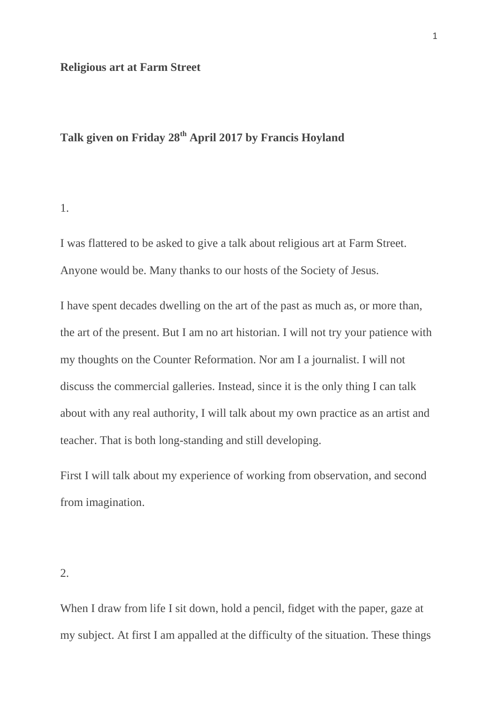#### **Religious art at Farm Street**

# **Talk given on Friday 28th April 2017 by Francis Hoyland**

1.

I was flattered to be asked to give a talk about religious art at Farm Street. Anyone would be. Many thanks to our hosts of the Society of Jesus.

I have spent decades dwelling on the art of the past as much as, or more than, the art of the present. But I am no art historian. I will not try your patience with my thoughts on the Counter Reformation. Nor am I a journalist. I will not discuss the commercial galleries. Instead, since it is the only thing I can talk about with any real authority, I will talk about my own practice as an artist and teacher. That is both long-standing and still developing.

First I will talk about my experience of working from observation, and second from imagination.

2.

When I draw from life I sit down, hold a pencil, fidget with the paper, gaze at my subject. At first I am appalled at the difficulty of the situation. These things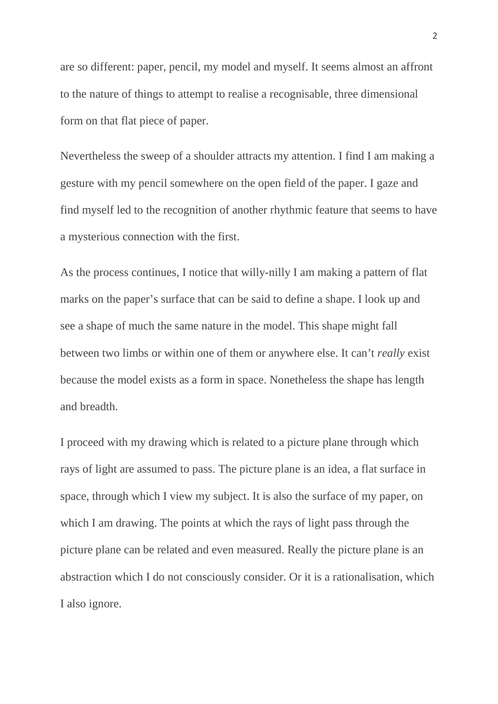are so different: paper, pencil, my model and myself. It seems almost an affront to the nature of things to attempt to realise a recognisable, three dimensional form on that flat piece of paper.

Nevertheless the sweep of a shoulder attracts my attention. I find I am making a gesture with my pencil somewhere on the open field of the paper. I gaze and find myself led to the recognition of another rhythmic feature that seems to have a mysterious connection with the first.

As the process continues, I notice that willy-nilly I am making a pattern of flat marks on the paper's surface that can be said to define a shape. I look up and see a shape of much the same nature in the model. This shape might fall between two limbs or within one of them or anywhere else. It can't *really* exist because the model exists as a form in space. Nonetheless the shape has length and breadth.

I proceed with my drawing which is related to a picture plane through which rays of light are assumed to pass. The picture plane is an idea, a flat surface in space, through which I view my subject. It is also the surface of my paper, on which I am drawing. The points at which the rays of light pass through the picture plane can be related and even measured. Really the picture plane is an abstraction which I do not consciously consider. Or it is a rationalisation, which I also ignore.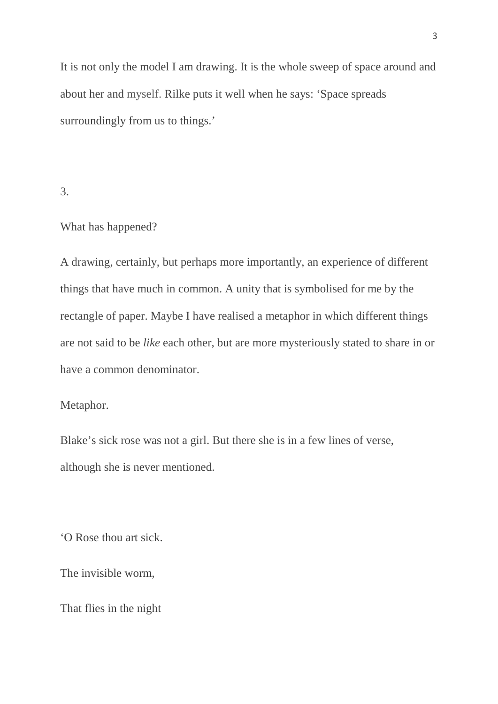It is not only the model I am drawing. It is the whole sweep of space around and about her and myself. Rilke puts it well when he says: 'Space spreads surroundingly from us to things.'

### 3.

#### What has happened?

A drawing, certainly, but perhaps more importantly, an experience of different things that have much in common. A unity that is symbolised for me by the rectangle of paper. Maybe I have realised a metaphor in which different things are not said to be *like* each other, but are more mysteriously stated to share in or have a common denominator.

## Metaphor.

Blake's sick rose was not a girl. But there she is in a few lines of verse, although she is never mentioned.

'O Rose thou art sick.

The invisible worm,

That flies in the night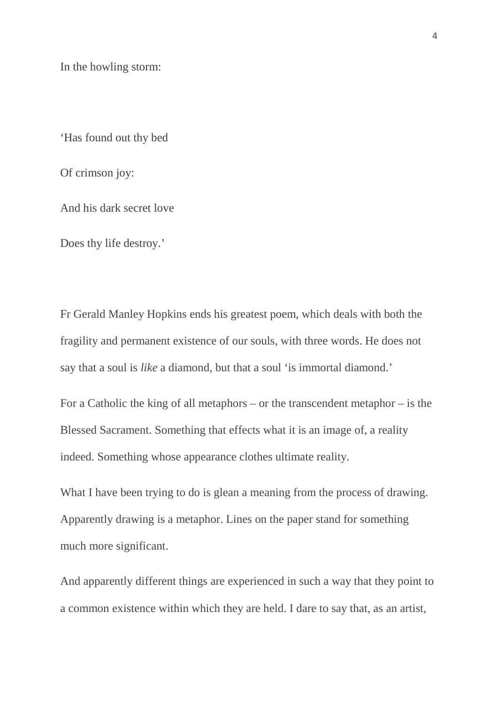In the howling storm:

'Has found out thy bed

Of crimson joy:

And his dark secret love

Does thy life destroy.'

Fr Gerald Manley Hopkins ends his greatest poem, which deals with both the fragility and permanent existence of our souls, with three words. He does not say that a soul is *like* a diamond, but that a soul 'is immortal diamond.'

For a Catholic the king of all metaphors – or the transcendent metaphor – is the Blessed Sacrament. Something that effects what it is an image of, a reality indeed. Something whose appearance clothes ultimate reality.

What I have been trying to do is glean a meaning from the process of drawing. Apparently drawing is a metaphor. Lines on the paper stand for something much more significant.

And apparently different things are experienced in such a way that they point to a common existence within which they are held. I dare to say that, as an artist,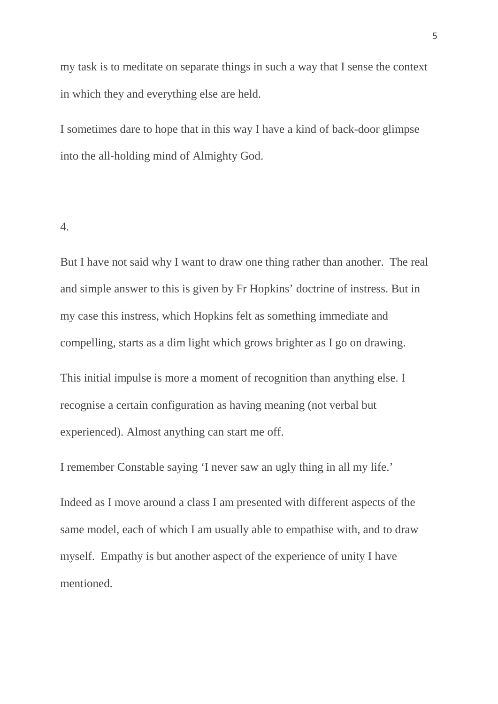my task is to meditate on separate things in such a way that I sense the context in which they and everything else are held.

I sometimes dare to hope that in this way I have a kind of back-door glimpse into the all-holding mind of Almighty God.

#### 4.

But I have not said why I want to draw one thing rather than another. The real and simple answer to this is given by Fr Hopkins' doctrine of instress. But in my case this instress, which Hopkins felt as something immediate and compelling, starts as a dim light which grows brighter as I go on drawing. This initial impulse is more a moment of recognition than anything else. I recognise a certain configuration as having meaning (not verbal but experienced). Almost anything can start me off.

I remember Constable saying 'I never saw an ugly thing in all my life.'

Indeed as I move around a class I am presented with different aspects of the same model, each of which I am usually able to empathise with, and to draw myself. Empathy is but another aspect of the experience of unity I have mentioned.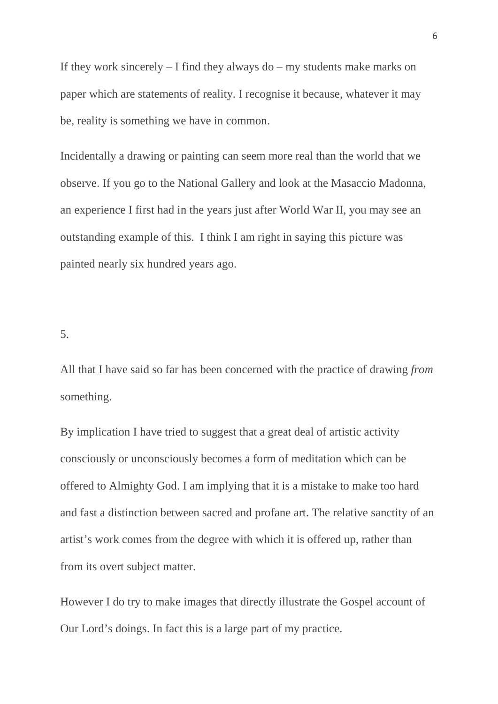If they work sincerely  $-$  I find they always do  $-$  my students make marks on paper which are statements of reality. I recognise it because, whatever it may be, reality is something we have in common.

Incidentally a drawing or painting can seem more real than the world that we observe. If you go to the National Gallery and look at the Masaccio Madonna, an experience I first had in the years just after World War II, you may see an outstanding example of this. I think I am right in saying this picture was painted nearly six hundred years ago.

5.

All that I have said so far has been concerned with the practice of drawing *from*  something.

By implication I have tried to suggest that a great deal of artistic activity consciously or unconsciously becomes a form of meditation which can be offered to Almighty God. I am implying that it is a mistake to make too hard and fast a distinction between sacred and profane art. The relative sanctity of an artist's work comes from the degree with which it is offered up, rather than from its overt subject matter.

However I do try to make images that directly illustrate the Gospel account of Our Lord's doings. In fact this is a large part of my practice.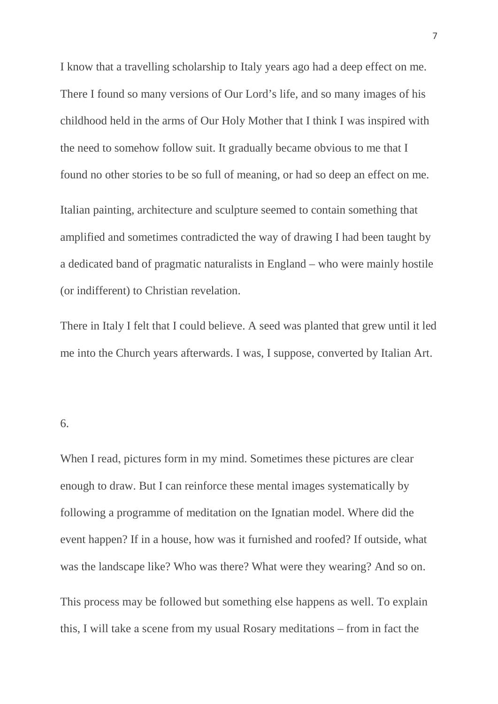I know that a travelling scholarship to Italy years ago had a deep effect on me. There I found so many versions of Our Lord's life, and so many images of his childhood held in the arms of Our Holy Mother that I think I was inspired with the need to somehow follow suit. It gradually became obvious to me that I found no other stories to be so full of meaning, or had so deep an effect on me.

Italian painting, architecture and sculpture seemed to contain something that amplified and sometimes contradicted the way of drawing I had been taught by a dedicated band of pragmatic naturalists in England – who were mainly hostile (or indifferent) to Christian revelation.

There in Italy I felt that I could believe. A seed was planted that grew until it led me into the Church years afterwards. I was, I suppose, converted by Italian Art.

#### 6.

When I read, pictures form in my mind. Sometimes these pictures are clear enough to draw. But I can reinforce these mental images systematically by following a programme of meditation on the Ignatian model. Where did the event happen? If in a house, how was it furnished and roofed? If outside, what was the landscape like? Who was there? What were they wearing? And so on. This process may be followed but something else happens as well. To explain this, I will take a scene from my usual Rosary meditations – from in fact the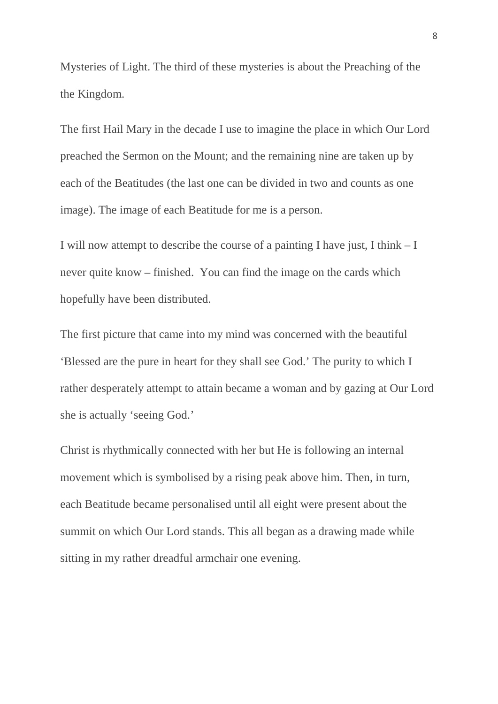Mysteries of Light. The third of these mysteries is about the Preaching of the the Kingdom.

The first Hail Mary in the decade I use to imagine the place in which Our Lord preached the Sermon on the Mount; and the remaining nine are taken up by each of the Beatitudes (the last one can be divided in two and counts as one image). The image of each Beatitude for me is a person.

I will now attempt to describe the course of a painting I have just, I think – I never quite know – finished. You can find the image on the cards which hopefully have been distributed.

The first picture that came into my mind was concerned with the beautiful 'Blessed are the pure in heart for they shall see God.' The purity to which I rather desperately attempt to attain became a woman and by gazing at Our Lord she is actually 'seeing God.'

Christ is rhythmically connected with her but He is following an internal movement which is symbolised by a rising peak above him. Then, in turn, each Beatitude became personalised until all eight were present about the summit on which Our Lord stands. This all began as a drawing made while sitting in my rather dreadful armchair one evening.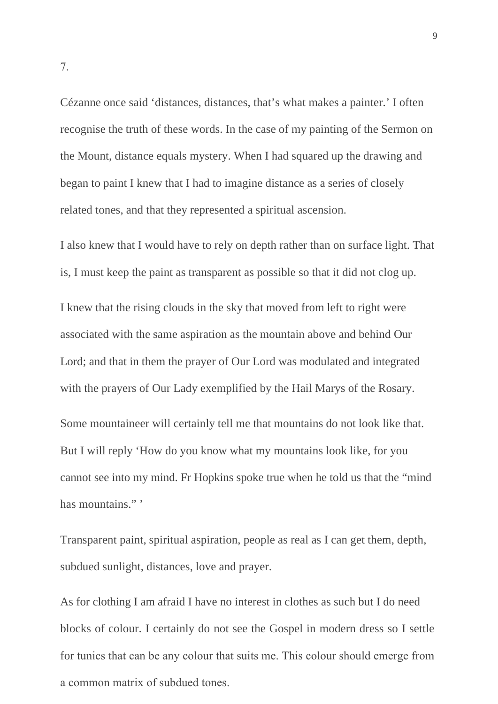Cézanne once said 'distances, distances, that's what makes a painter.' I often recognise the truth of these words. In the case of my painting of the Sermon on the Mount, distance equals mystery. When I had squared up the drawing and began to paint I knew that I had to imagine distance as a series of closely related tones, and that they represented a spiritual ascension.

I also knew that I would have to rely on depth rather than on surface light. That is, I must keep the paint as transparent as possible so that it did not clog up.

I knew that the rising clouds in the sky that moved from left to right were associated with the same aspiration as the mountain above and behind Our Lord; and that in them the prayer of Our Lord was modulated and integrated with the prayers of Our Lady exemplified by the Hail Marys of the Rosary. Some mountaineer will certainly tell me that mountains do not look like that. But I will reply 'How do you know what my mountains look like, for you cannot see into my mind. Fr Hopkins spoke true when he told us that the "mind has mountains."'

Transparent paint, spiritual aspiration, people as real as I can get them, depth, subdued sunlight, distances, love and prayer.

As for clothing I am afraid I have no interest in clothes as such but I do need blocks of colour. I certainly do not see the Gospel in modern dress so I settle for tunics that can be any colour that suits me. This colour should emerge from a common matrix of subdued tones.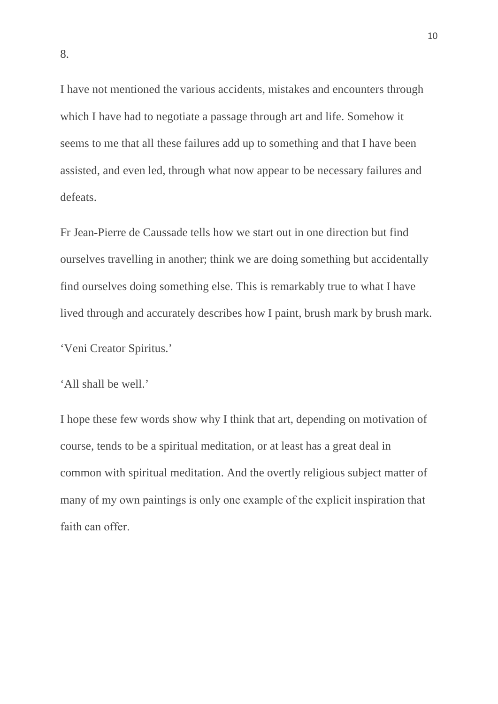I have not mentioned the various accidents, mistakes and encounters through which I have had to negotiate a passage through art and life. Somehow it seems to me that all these failures add up to something and that I have been assisted, and even led, through what now appear to be necessary failures and defeats.

Fr Jean-Pierre de Caussade tells how we start out in one direction but find ourselves travelling in another; think we are doing something but accidentally find ourselves doing something else. This is remarkably true to what I have lived through and accurately describes how I paint, brush mark by brush mark.

'Veni Creator Spiritus.'

'All shall be well.'

I hope these few words show why I think that art, depending on motivation of course, tends to be a spiritual meditation, or at least has a great deal in common with spiritual meditation. And the overtly religious subject matter of many of my own paintings is only one example of the explicit inspiration that faith can offer.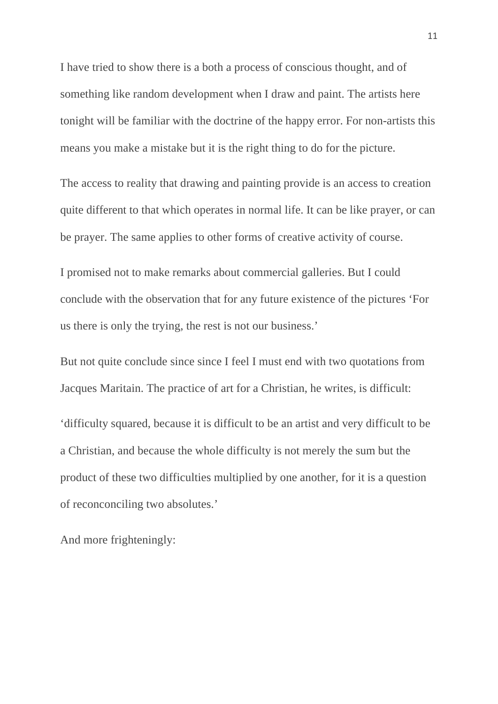I have tried to show there is a both a process of conscious thought, and of something like random development when I draw and paint. The artists here tonight will be familiar with the doctrine of the happy error. For non-artists this means you make a mistake but it is the right thing to do for the picture.

The access to reality that drawing and painting provide is an access to creation quite different to that which operates in normal life. It can be like prayer, or can be prayer. The same applies to other forms of creative activity of course.

I promised not to make remarks about commercial galleries. But I could conclude with the observation that for any future existence of the pictures 'For us there is only the trying, the rest is not our business.'

But not quite conclude since since I feel I must end with two quotations from Jacques Maritain. The practice of art for a Christian, he writes, is difficult: 'difficulty squared, because it is difficult to be an artist and very difficult to be a Christian, and because the whole difficulty is not merely the sum but the product of these two difficulties multiplied by one another, for it is a question of reconconciling two absolutes.'

And more frighteningly: